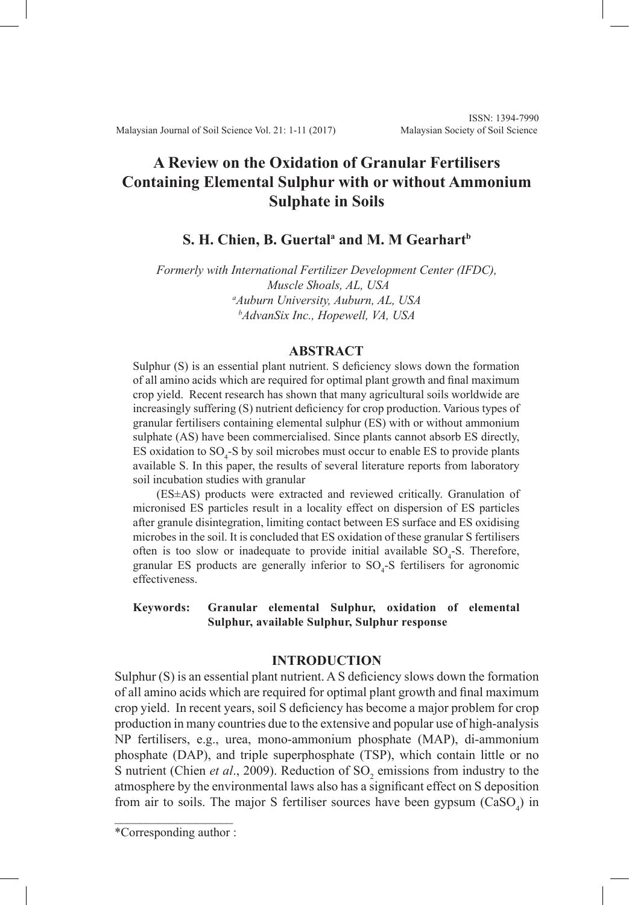# **A Review on the Oxidation of Granular Fertilisers Containing Elemental Sulphur with or without Ammonium Sulphate in Soils**

# **S. H. Chien, B. Guertal<sup>a</sup> and M. M Gearhart<sup>b</sup>**

*Formerly with International Fertilizer Development Center (IFDC), Muscle Shoals, AL, USA a Auburn University, Auburn, AL, USA b AdvanSix Inc., Hopewell, VA, USA*

# **ABSTRACT**

Sulphur (S) is an essential plant nutrient. S deficiency slows down the formation of all amino acids which are required for optimal plant growth and final maximum crop yield. Recent research has shown that many agricultural soils worldwide are increasingly suffering (S) nutrient deficiency for crop production. Various types of granular fertilisers containing elemental sulphur (ES) with or without ammonium sulphate (AS) have been commercialised. Since plants cannot absorb ES directly, ES oxidation to  $SO_4$ -S by soil microbes must occur to enable ES to provide plants available S. In this paper, the results of several literature reports from laboratory soil incubation studies with granular

(ES±AS) products were extracted and reviewed critically. Granulation of micronised ES particles result in a locality effect on dispersion of ES particles after granule disintegration, limiting contact between ES surface and ES oxidising microbes in the soil. It is concluded that ES oxidation of these granular S fertilisers often is too slow or inadequate to provide initial available  $SO_4$ -S. Therefore, granular ES products are generally inferior to  $SO_4$ -S fertilisers for agronomic effectiveness.

## **Keywords: Granular elemental Sulphur, oxidation of elemental Sulphur, available Sulphur, Sulphur response**

#### **INTRODUCTION**

Sulphur (S) is an essential plant nutrient. A S deficiency slows down the formation of all amino acids which are required for optimal plant growth and final maximum crop yield. In recent years, soil S deficiency has become a major problem for crop production in many countries due to the extensive and popular use of high-analysis NP fertilisers, e.g., urea, mono-ammonium phosphate (MAP), di-ammonium phosphate (DAP), and triple superphosphate (TSP), which contain little or no S nutrient (Chien *et al.*, 2009). Reduction of SO<sub>2</sub> emissions from industry to the atmosphere by the environmental laws also has a significant effect on S deposition from air to soils. The major S fertiliser sources have been gypsum  $(CaSO<sub>4</sub>)$  in

 $\mathcal{L}$  , and the set of the set of the set of the set of the set of the set of the set of the set of the set of the set of the set of the set of the set of the set of the set of the set of the set of the set of the set \*Corresponding author :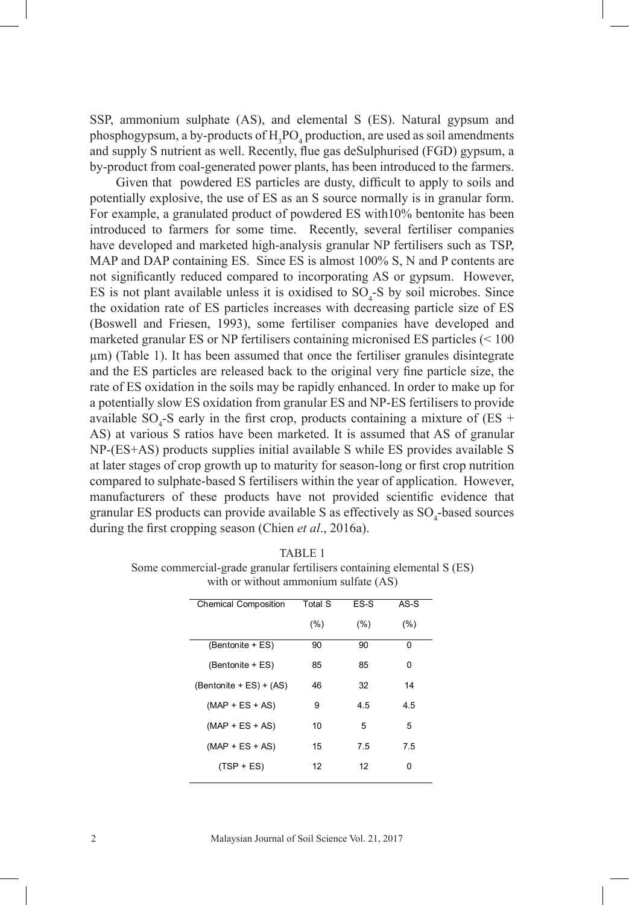SSP, ammonium sulphate (AS), and elemental S (ES). Natural gypsum and phosphogypsum, a by-products of  $H_3PO_4$  production, are used as soil amendments and supply S nutrient as well. Recently, flue gas deSulphurised (FGD) gypsum, a by-product from coal-generated power plants, has been introduced to the farmers.

Given that powdered ES particles are dusty, difficult to apply to soils and potentially explosive, the use of ES as an S source normally is in granular form. For example, a granulated product of powdered ES with10% bentonite has been introduced to farmers for some time. Recently, several fertiliser companies have developed and marketed high-analysis granular NP fertilisers such as TSP, MAP and DAP containing ES. Since ES is almost 100% S, N and P contents are not significantly reduced compared to incorporating AS or gypsum. However, ES is not plant available unless it is oxidised to  $SO_4$ -S by soil microbes. Since the oxidation rate of ES particles increases with decreasing particle size of ES (Boswell and Friesen, 1993), some fertiliser companies have developed and marketed granular ES or NP fertilisers containing micronised ES particles  $(< 100$ μm) (Table 1). It has been assumed that once the fertiliser granules disintegrate and the ES particles are released back to the original very fine particle size, the rate of ES oxidation in the soils may be rapidly enhanced. In order to make up for a potentially slow ES oxidation from granular ES and NP-ES fertilisers to provide available  $SO_4$ -S early in the first crop, products containing a mixture of (ES + AS) at various S ratios have been marketed. It is assumed that AS of granular NP-(ES+AS) products supplies initial available S while ES provides available S at later stages of crop growth up to maturity for season-long or first crop nutrition compared to sulphate-based S fertilisers within the year of application. However, manufacturers of these products have not provided scientific evidence that granular ES products can provide available S as effectively as  $SO_4$ -based sources during the first cropping season (Chien *et al*., 2016a).

| $W(1,1)$ of $W(1,1)$ without animal valuation $V(1,1)$ |                |        |        |  |
|--------------------------------------------------------|----------------|--------|--------|--|
| <b>Chemical Composition</b>                            | <b>Total S</b> | ES-S   | $AS-S$ |  |
|                                                        | (%)            | $(\%)$ | (%)    |  |
| (Bentonite + ES)                                       | 90             | 90     | 0      |  |
| (Bentonite + ES)                                       | 85             | 85     | 0      |  |
| $(Bentonite + ES) + (AS)$                              | 46             | 32     | 14     |  |
| $(MAP + ES + AS)$                                      | 9              | 4.5    | 4.5    |  |
| $(MAP + ES + AS)$                                      | 10             | 5      | 5      |  |
| $(MAP + ES + AS)$                                      | 15             | 7.5    | 7.5    |  |
| $(TSP + ES)$                                           | 12             | 12     | 0      |  |

TABLE 1 Some commercial-grade granular fertilisers containing elemental S (ES) Some commercial-grade granular fertiliszers containing elemental S (ES) with or without ammonium sulfate (AS) with or without ammonium sulfate (AS)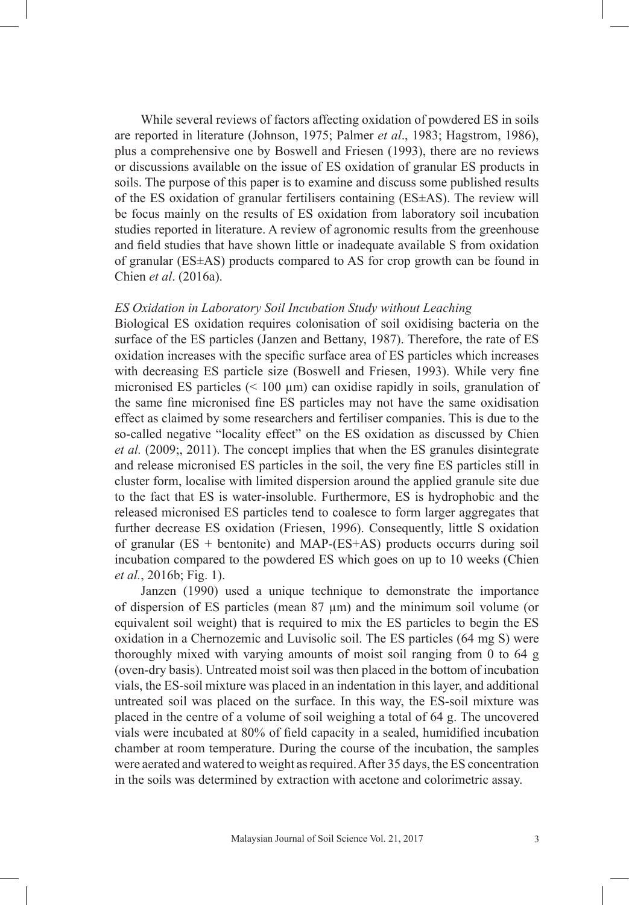While several reviews of factors affecting oxidation of powdered ES in soils are reported in literature (Johnson, 1975; Palmer *et al*., 1983; Hagstrom, 1986), plus a comprehensive one by Boswell and Friesen (1993), there are no reviews or discussions available on the issue of ES oxidation of granular ES products in soils. The purpose of this paper is to examine and discuss some published results of the ES oxidation of granular fertilisers containing (ES±AS). The review will be focus mainly on the results of ES oxidation from laboratory soil incubation studies reported in literature. A review of agronomic results from the greenhouse and field studies that have shown little or inadequate available S from oxidation of granular (ES±AS) products compared to AS for crop growth can be found in Chien *et al*. (2016a).

# *ES Oxidation in Laboratory Soil Incubation Study without Leaching*

Biological ES oxidation requires colonisation of soil oxidising bacteria on the surface of the ES particles (Janzen and Bettany, 1987). Therefore, the rate of ES oxidation increases with the specific surface area of ES particles which increases with decreasing ES particle size (Boswell and Friesen, 1993). While very fine micronised ES particles  $(< 100 \mu m$ ) can oxidise rapidly in soils, granulation of the same fine micronised fine ES particles may not have the same oxidisation effect as claimed by some researchers and fertiliser companies. This is due to the so-called negative "locality effect" on the ES oxidation as discussed by Chien *et al.* (2009;, 2011). The concept implies that when the ES granules disintegrate and release micronised ES particles in the soil, the very fine ES particles still in cluster form, localise with limited dispersion around the applied granule site due to the fact that ES is water-insoluble. Furthermore, ES is hydrophobic and the released micronised ES particles tend to coalesce to form larger aggregates that further decrease ES oxidation (Friesen, 1996). Consequently, little S oxidation of granular (ES + bentonite) and MAP-(ES+AS) products occurrs during soil incubation compared to the powdered ES which goes on up to 10 weeks (Chien *et al.*, 2016b; Fig. 1).

Janzen (1990) used a unique technique to demonstrate the importance of dispersion of ES particles (mean 87 µm) and the minimum soil volume (or equivalent soil weight) that is required to mix the ES particles to begin the ES oxidation in a Chernozemic and Luvisolic soil. The ES particles (64 mg S) were thoroughly mixed with varying amounts of moist soil ranging from 0 to 64 g (oven-dry basis). Untreated moist soil was then placed in the bottom of incubation vials, the ES-soil mixture was placed in an indentation in this layer, and additional untreated soil was placed on the surface. In this way, the ES-soil mixture was placed in the centre of a volume of soil weighing a total of 64 g. The uncovered vials were incubated at 80% of field capacity in a sealed, humidified incubation chamber at room temperature. During the course of the incubation, the samples were aerated and watered to weight as required. After 35 days, the ES concentration in the soils was determined by extraction with acetone and colorimetric assay.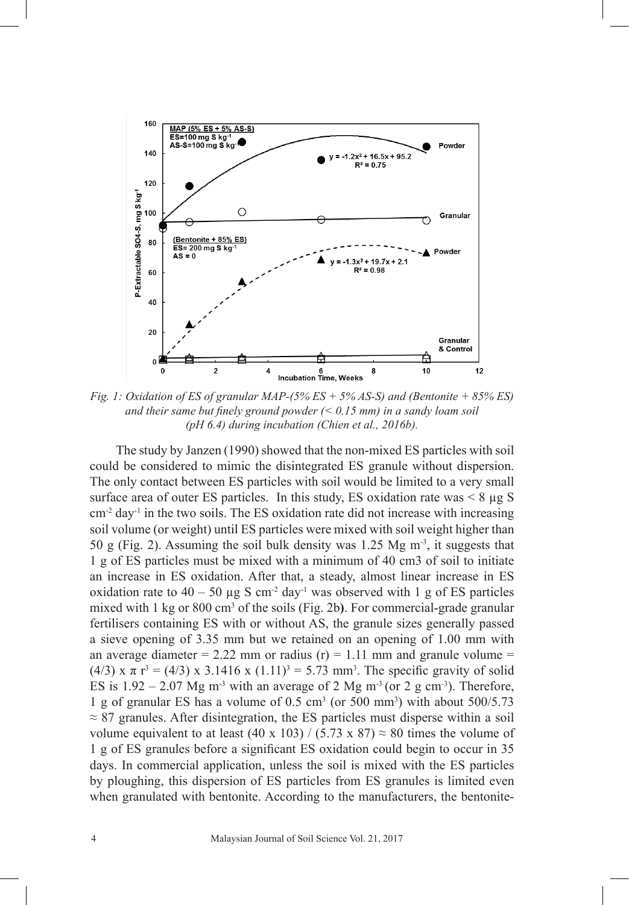

*Fig. 1: Oxidation of ES of granular MAP-(5% ES + 5% AS-S) and (Bentonite + 85% ES) and their same but finely ground powder (< 0.15 mm) in a sandy loam soil (pH 6.4) during incubation (Chien et al., 2016b).* 

The study by Janzen (1990) showed that the non-mixed ES particles with soil could be considered to mimic the disintegrated ES granule without dispersion. The only contact between ES particles with soil would be limited to a very small surface area of outer ES particles. In this study, ES oxidation rate was  $< 8 \mu g S$  $\text{cm}^2$  day<sup>-1</sup> in the two soils. The ES oxidation rate did not increase with increasing soil volume (or weight) until ES particles were mixed with soil weight higher than 50 g (Fig. 2). Assuming the soil bulk density was 1.25 Mg m-3, it suggests that 1 g of ES particles must be mixed with a minimum of 40 cm3 of soil to initiate an increase in ES oxidation. After that, a steady, almost linear increase in ES oxidation rate to  $40 - 50 \mu g S cm^{-2} day^{-1}$  was observed with 1 g of ES particles mixed with 1 kg or 800 cm<sup>3</sup> of the soils (Fig. 2b). For commercial-grade granular fertilisers containing ES with or without AS, the granule sizes generally passed a sieve opening of 3.35 mm but we retained on an opening of 1.00 mm with an average diameter = 2.22 mm or radius (r) = 1.11 mm and granule volume = (4/3) x  $\pi$  r<sup>3</sup> = (4/3) x 3.1416 x (1.11)<sup>3</sup> = 5.73 mm<sup>3</sup>. The specific gravity of solid ES is  $1.92 - 2.07$  Mg m<sup>-3</sup> with an average of 2 Mg m<sup>-3</sup> (or 2 g cm<sup>-3</sup>). Therefore, 1 g of granular ES has a volume of  $0.5 \text{ cm}^3$  (or  $500 \text{ mm}^3$ ) with about  $500/5.73$  $\approx 87$  granules. After disintegration, the ES particles must disperse within a soil volume equivalent to at least (40 x 103) / (5.73 x 87)  $\approx$  80 times the volume of 1 g of ES granules before a significant ES oxidation could begin to occur in 35 days. In commercial application, unless the soil is mixed with the ES particles by ploughing, this dispersion of ES particles from ES granules is limited even when granulated with bentonite. According to the manufacturers, the bentonite-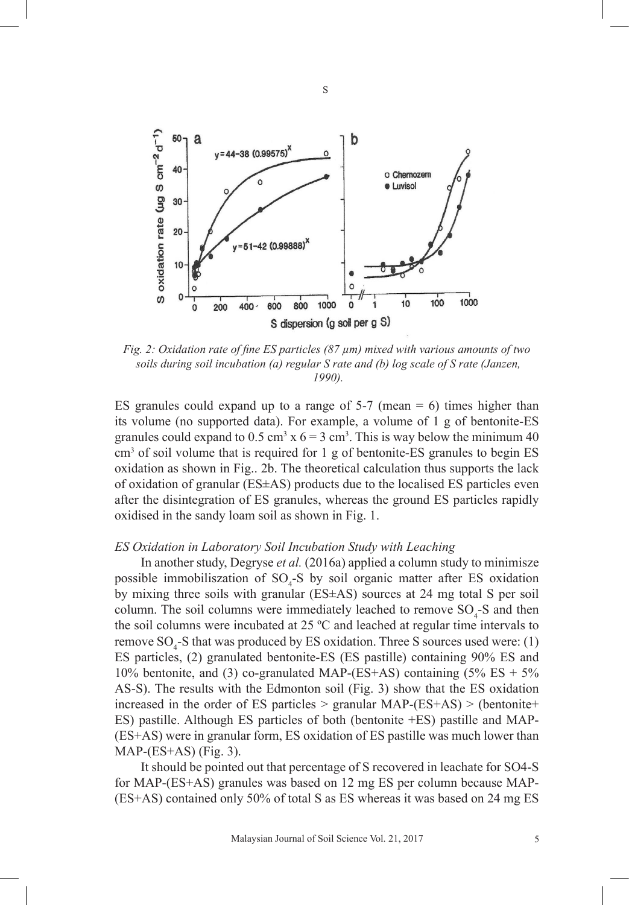

S

*Fig. 2: Oxidation rate of fine ES particles (87 µm) mixed with various amounts of two soils during soil incubation (a) regular S rate and (b) log scale of S rate (Janzen, 1990).*

ES granules could expand up to a range of  $5-7$  (mean  $= 6$ ) times higher than its volume (no supported data). For example, a volume of 1 g of bentonite-ES granules could expand to  $0.5 \text{ cm}^3 \times 6 = 3 \text{ cm}^3$ . This is way below the minimum 40  $\text{cm}^3$  of soil volume that is required for 1 g of bentonite-ES granules to begin ES oxidation as shown in Fig.. 2b. The theoretical calculation thus supports the lack of oxidation of granular (ES±AS) products due to the localised ES particles even after the disintegration of ES granules, whereas the ground ES particles rapidly oxidised in the sandy loam soil as shown in Fig. 1.

#### *ES Oxidation in Laboratory Soil Incubation Study with Leaching*

In another study, Degryse *et al.* (2016a) applied a column study to minimisze possible immobiliszation of  $SO_4$ -S by soil organic matter after ES oxidation by mixing three soils with granular (ES±AS) sources at 24 mg total S per soil column. The soil columns were immediately leached to remove  $SO_4$ -S and then the soil columns were incubated at  $25 \text{ °C}$  and leached at regular time intervals to remove  $SO_4$ -S that was produced by ES oxidation. Three S sources used were: (1) ES particles, (2) granulated bentonite-ES (ES pastille) containing 90% ES and 10% bentonite, and (3) co-granulated MAP-(ES+AS) containing  $(5\%$  ES +  $5\%$ AS-S). The results with the Edmonton soil (Fig. 3) show that the ES oxidation increased in the order of ES particles  $>$  granular MAP-(ES+AS)  $>$  (bentonite+ ES) pastille. Although ES particles of both (bentonite +ES) pastille and MAP- (ES+AS) were in granular form, ES oxidation of ES pastille was much lower than MAP-(ES+AS) (Fig. 3).

It should be pointed out that percentage of S recovered in leachate for SO4-S for MAP-(ES+AS) granules was based on 12 mg ES per column because MAP- (ES+AS) contained only 50% of total S as ES whereas it was based on 24 mg ES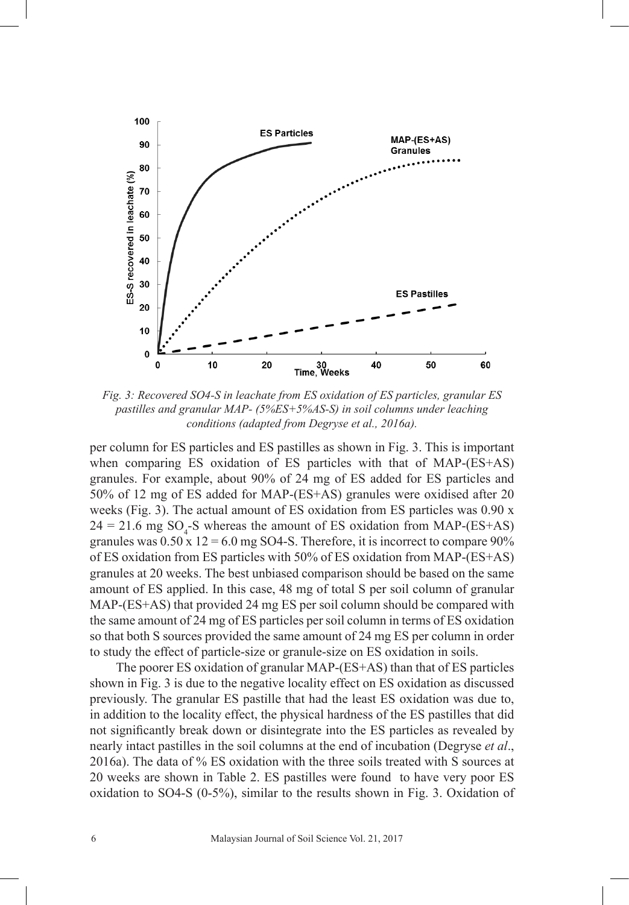

*Fig. 3: Recovered SO4-S in leachate from ES oxidation of ES particles, granular ES pastilles and granular MAP- (5%ES+5%AS-S) in soil columns under leaching conditions (adapted from Degryse et al., 2016a).* 

per column for ES particles and ES pastilles as shown in Fig. 3. This is important when comparing ES oxidation of ES particles with that of MAP-(ES+AS) granules. For example, about 90% of 24 mg of ES added for ES particles and 50% of 12 mg of ES added for MAP-(ES+AS) granules were oxidised after 20 weeks (Fig. 3). The actual amount of ES oxidation from ES particles was 0.90 x  $24 = 21.6$  mg SO<sub>4</sub>-S whereas the amount of ES oxidation from MAP-(ES+AS) granules was  $0.50 \times 12 = 6.0$  mg SO4-S. Therefore, it is incorrect to compare 90% of ES oxidation from ES particles with 50% of ES oxidation from MAP-(ES+AS) granules at 20 weeks. The best unbiased comparison should be based on the same 20amount of ES applied. In this case, 48 mg of total S per soil column of granular MAP-(ES+AS) that provided 24 mg ES per soil column should be compared with the same amount of 24 mg of ES particles per soil column in terms of ES oxidation so that both S sources provided the same amount of 24 mg ES per column in order to study the effect of particle-size or granule-size on ES oxidation in soils.

The poorer ES oxidation of granular MAP-(ES+AS) than that of ES particles shown in Fig. 3 is due to the negative locality effect on ES oxidation as discussed previously. The granular ES pastille that had the least ES oxidation was due to, in addition to the locality effect, the physical hardness of the ES pastilles that did not significantly break down or disintegrate into the ES particles as revealed by nearly intact pastilles in the soil columns at the end of incubation (Degryse *et al*., 2016a). The data of % ES oxidation with the three soils treated with S sources at 20 weeks are shown in Table 2. ES pastilles were found to have very poor ES oxidation to SO4-S (0-5%), similar to the results shown in Fig. 3. Oxidation of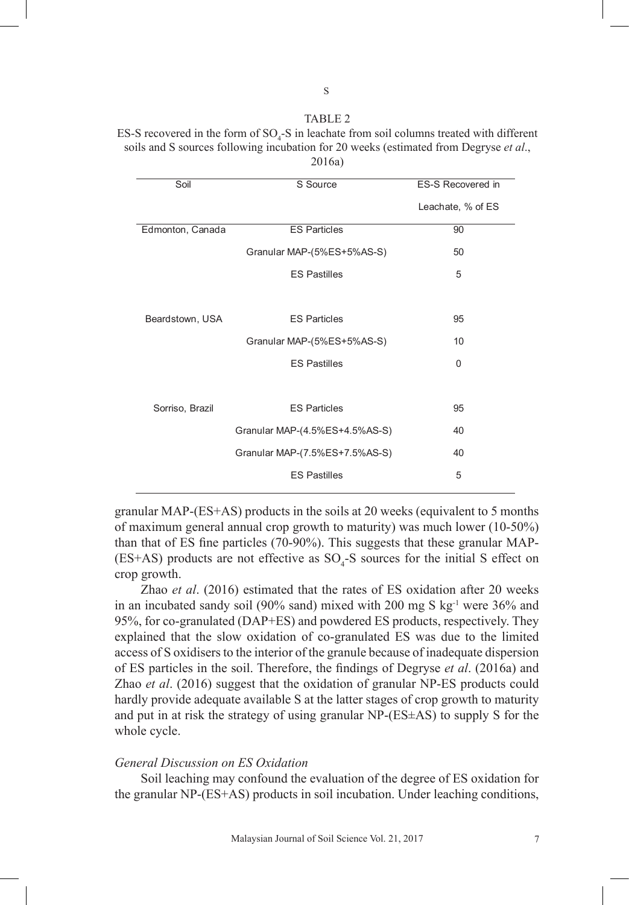# TABLE 2 ES-S recovered in the form of  $SO_4$ -S in leachate from soil columns treated with different soils and S sources following incubation for 20 weeks (estimated from Degryse *et al*., soils and S sources following incubation for 20 weeks (estimated from Degryse *et al.,*

| Soil                           | S Source                   | ES-S Recovered in |  |
|--------------------------------|----------------------------|-------------------|--|
|                                |                            | Leachate, % of ES |  |
| Edmonton, Canada               | <b>ES Particles</b>        | 90                |  |
|                                | Granular MAP-(5%ES+5%AS-S) | 50                |  |
|                                | <b>ES Pastilles</b>        | 5                 |  |
|                                |                            |                   |  |
| Beardstown, USA                | <b>ES Particles</b>        | 95                |  |
|                                | Granular MAP-(5%ES+5%AS-S) | 10                |  |
|                                | <b>ES Pastilles</b>        | 0                 |  |
|                                |                            |                   |  |
| Sorriso, Brazil                | <b>ES Particles</b>        | 95                |  |
| Granular MAP-(4.5%ES+4.5%AS-S) |                            | 40                |  |
| Granular MAP-(7.5%ES+7.5%AS-S) |                            | 40                |  |
|                                | <b>ES Pastilles</b>        | 5                 |  |
|                                |                            |                   |  |

2016a) 2016a)

granular MAP-(ES+AS) products in the soils at 20 weeks (equivalent to 5 months of maximum general annual crop growth to maturity) was much lower (10-50%) than that of ES fine particles (70-90%). This suggests that these granular MAP-  $(ES+AS)$  products are not effective as  $SO_4$ -S sources for the initial S effect on crop growth.

Zhao *et al*. (2016) estimated that the rates of ES oxidation after 20 weeks in an incubated sandy soil (90% sand) mixed with 200 mg S kg-1 were 36% and 95%, for co-granulated (DAP+ES) and powdered ES products, respectively. They 17 explained that the slow oxidation of co-granulated ES was due to the limited access of S oxidisers to the interior of the granule because of inadequate dispersion of ES particles in the soil. Therefore, the findings of Degryse *et al*. (2016a) and Zhao *et al*. (2016) suggest that the oxidation of granular NP-ES products could hardly provide adequate available S at the latter stages of crop growth to maturity and put in at risk the strategy of using granular NP-(ES±AS) to supply S for the whole cycle.

### *General Discussion on ES Oxidation*

Soil leaching may confound the evaluation of the degree of ES oxidation for the granular NP-(ES+AS) products in soil incubation. Under leaching conditions,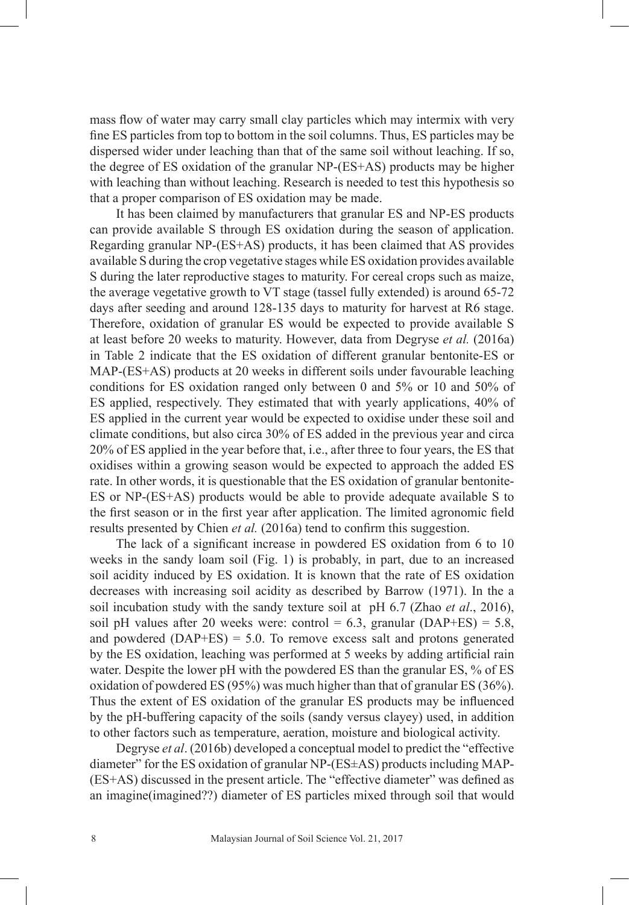mass flow of water may carry small clay particles which may intermix with very fine ES particles from top to bottom in the soil columns. Thus, ES particles may be dispersed wider under leaching than that of the same soil without leaching. If so, the degree of ES oxidation of the granular NP-(ES+AS) products may be higher with leaching than without leaching. Research is needed to test this hypothesis so that a proper comparison of ES oxidation may be made.

It has been claimed by manufacturers that granular ES and NP-ES products can provide available S through ES oxidation during the season of application. Regarding granular NP-(ES+AS) products, it has been claimed that AS provides available S during the crop vegetative stages while ES oxidation provides available S during the later reproductive stages to maturity. For cereal crops such as maize, the average vegetative growth to VT stage (tassel fully extended) is around 65-72 days after seeding and around 128-135 days to maturity for harvest at R6 stage. Therefore, oxidation of granular ES would be expected to provide available S at least before 20 weeks to maturity. However, data from Degryse *et al.* (2016a) in Table 2 indicate that the ES oxidation of different granular bentonite-ES or MAP-(ES+AS) products at 20 weeks in different soils under favourable leaching conditions for ES oxidation ranged only between 0 and 5% or 10 and 50% of ES applied, respectively. They estimated that with yearly applications, 40% of ES applied in the current year would be expected to oxidise under these soil and climate conditions, but also circa 30% of ES added in the previous year and circa 20% of ES applied in the year before that, i.e., after three to four years, the ES that oxidises within a growing season would be expected to approach the added ES rate. In other words, it is questionable that the ES oxidation of granular bentonite-ES or NP-(ES+AS) products would be able to provide adequate available S to the first season or in the first year after application. The limited agronomic field results presented by Chien *et al.* (2016a) tend to confirm this suggestion.

The lack of a significant increase in powdered ES oxidation from 6 to 10 weeks in the sandy loam soil (Fig. 1) is probably, in part, due to an increased soil acidity induced by ES oxidation. It is known that the rate of ES oxidation decreases with increasing soil acidity as described by Barrow (1971). In the a soil incubation study with the sandy texture soil at pH 6.7 (Zhao *et al*., 2016), soil pH values after 20 weeks were: control =  $6.3$ , granular (DAP+ES) =  $5.8$ , and powdered  $(DAP+ES) = 5.0$ . To remove excess salt and protons generated by the ES oxidation, leaching was performed at 5 weeks by adding artificial rain water. Despite the lower pH with the powdered ES than the granular ES, % of ES oxidation of powdered ES (95%) was much higher than that of granular ES (36%). Thus the extent of ES oxidation of the granular ES products may be influenced by the pH-buffering capacity of the soils (sandy versus clayey) used, in addition to other factors such as temperature, aeration, moisture and biological activity.

Degryse *et al*. (2016b) developed a conceptual model to predict the "effective diameter" for the ES oxidation of granular NP-(ES±AS) products including MAP- (ES+AS) discussed in the present article. The "effective diameter" was defined as an imagine(imagined??) diameter of ES particles mixed through soil that would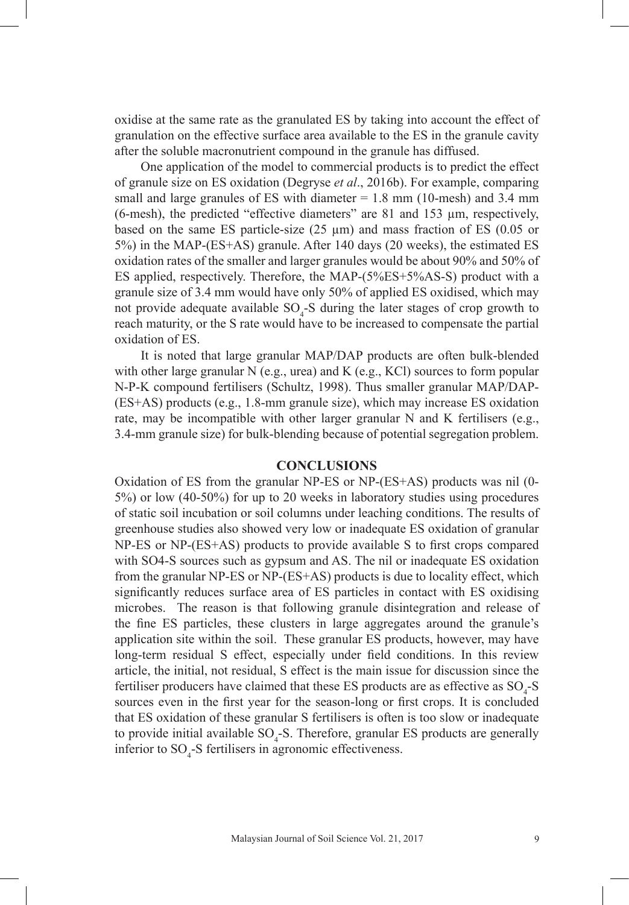oxidise at the same rate as the granulated ES by taking into account the effect of granulation on the effective surface area available to the ES in the granule cavity after the soluble macronutrient compound in the granule has diffused.

One application of the model to commercial products is to predict the effect of granule size on ES oxidation (Degryse *et al*., 2016b). For example, comparing small and large granules of ES with diameter  $= 1.8$  mm (10-mesh) and 3.4 mm (6-mesh), the predicted "effective diameters" are 81 and 153 µm, respectively, based on the same ES particle-size (25 µm) and mass fraction of ES (0.05 or 5%) in the MAP-(ES+AS) granule. After 140 days (20 weeks), the estimated ES oxidation rates of the smaller and larger granules would be about 90% and 50% of ES applied, respectively. Therefore, the MAP-(5%ES+5%AS-S) product with a granule size of 3.4 mm would have only 50% of applied ES oxidised, which may not provide adequate available  $SO_4$ -S during the later stages of crop growth to reach maturity, or the S rate would have to be increased to compensate the partial oxidation of ES.

It is noted that large granular MAP/DAP products are often bulk-blended with other large granular N (e.g., urea) and K (e.g., KCl) sources to form popular N-P-K compound fertilisers (Schultz, 1998). Thus smaller granular MAP/DAP- (ES+AS) products (e.g., 1.8-mm granule size), which may increase ES oxidation rate, may be incompatible with other larger granular N and K fertilisers (e.g., 3.4-mm granule size) for bulk-blending because of potential segregation problem.

# **CONCLUSIONS**

Oxidation of ES from the granular NP-ES or NP-(ES+AS) products was nil (0- 5%) or low (40-50%) for up to 20 weeks in laboratory studies using procedures of static soil incubation or soil columns under leaching conditions. The results of greenhouse studies also showed very low or inadequate ES oxidation of granular NP-ES or NP-(ES+AS) products to provide available S to first crops compared with SO4-S sources such as gypsum and AS. The nil or inadequate ES oxidation from the granular NP-ES or NP-(ES+AS) products is due to locality effect, which significantly reduces surface area of ES particles in contact with ES oxidising microbes. The reason is that following granule disintegration and release of the fine ES particles, these clusters in large aggregates around the granule's application site within the soil. These granular ES products, however, may have long-term residual S effect, especially under field conditions. In this review article, the initial, not residual, S effect is the main issue for discussion since the fertiliser producers have claimed that these ES products are as effective as  $SO_4$ -S sources even in the first year for the season-long or first crops. It is concluded that ES oxidation of these granular S fertilisers is often is too slow or inadequate to provide initial available  $SO_4$ -S. Therefore, granular ES products are generally inferior to  $SO_4$ -S fertilisers in agronomic effectiveness.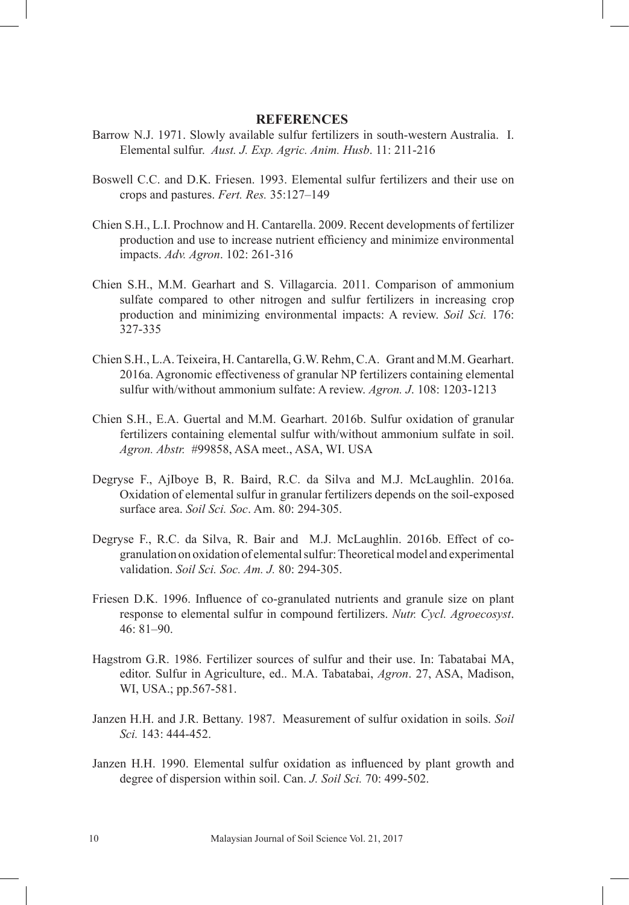## **REFERENCES**

- Barrow N.J. 1971. Slowly available sulfur fertilizers in south-western Australia. I. Elemental sulfur. *Aust. J. Exp. Agric. Anim. Husb*. 11: 211-216
- Boswell C.C. and D.K. Friesen. 1993. Elemental sulfur fertilizers and their use on crops and pastures. *Fert. Res.* 35:127–149
- Chien S.H., L.I. Prochnow and H. Cantarella. 2009. Recent developments of fertilizer production and use to increase nutrient efficiency and minimize environmental impacts. *Adv. Agron*. 102: 261-316
- Chien S.H., M.M. Gearhart and S. Villagarcia. 2011. Comparison of ammonium sulfate compared to other nitrogen and sulfur fertilizers in increasing crop production and minimizing environmental impacts: A review. *Soil Sci.* 176: 327-335
- Chien S.H., L.A. Teixeira, H. Cantarella, G.W. Rehm, C.A. Grant and M.M. Gearhart. 2016a. Agronomic effectiveness of granular NP fertilizers containing elemental sulfur with/without ammonium sulfate: A review. *Agron. J*. 108: 1203-1213
- Chien S.H., E.A. Guertal and M.M. Gearhart. 2016b. Sulfur oxidation of granular fertilizers containing elemental sulfur with/without ammonium sulfate in soil. *Agron. Abstr.* #99858, ASA meet., ASA, WI. USA
- Degryse F., AjIboye B, R. Baird, R.C. da Silva and M.J. McLaughlin. 2016a. Oxidation of elemental sulfur in granular fertilizers depends on the soil-exposed surface area. *Soil Sci. Soc*. Am. 80: 294-305.
- Degryse F., R.C. da Silva, R. Bair and M.J. McLaughlin. 2016b. Effect of cogranulation on oxidation of elemental sulfur: Theoretical model and experimental validation. *Soil Sci. Soc. Am. J.* 80: 294-305.
- Friesen D.K. 1996. Influence of co-granulated nutrients and granule size on plant response to elemental sulfur in compound fertilizers. *Nutr. Cycl. Agroecosyst*. 46: 81–90.
- Hagstrom G.R. 1986. Fertilizer sources of sulfur and their use. In: Tabatabai MA, editor. Sulfur in Agriculture, ed.. M.A. Tabatabai, *Agron*. 27, ASA, Madison, WI, USA.; pp.567-581.
- Janzen H.H. and J.R. Bettany. 1987. Measurement of sulfur oxidation in soils. *Soil Sci.* 143: 444-452.
- Janzen H.H. 1990. Elemental sulfur oxidation as influenced by plant growth and degree of dispersion within soil. Can. *J. Soil Sci.* 70: 499-502.